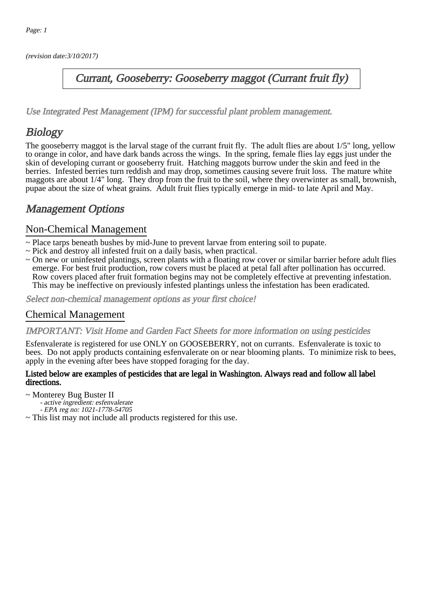(revision date:3/10/2017)

## Currant, Gooseberry: Gooseberry maggot (Currant fruit fly)

[Use Integrated Pest Management \(IPM\) for successful plant problem management.](http://pep.wsu.edu/Home_Garden/H_G_Pesticide_info/urban_Integrated_Pest_Managmen/)

# **Biology**

The gooseberry maggot is the larval stage of the currant fruit fly. The adult flies are about 1/5" long, yellow to orange in color, and have dark bands across the wings. In the spring, female flies lay eggs just under the skin of developing currant or gooseberry fruit. Hatching maggots burrow under the skin and feed in the berries. Infested berries turn reddish and may drop, sometimes causing severe fruit loss. The mature white maggots are about 1/4" long. They drop from the fruit to the soil, where they overwinter as small, brownish, pupae about the size of wheat grains. Adult fruit flies typically emerge in mid- to late April and May.

# Management Options

### Non-Chemical Management

- ~ Place tarps beneath bushes by mid-June to prevent larvae from entering soil to pupate.
- ~ Pick and destroy all infested fruit on a daily basis, when practical.
- ~ On new or uninfested plantings, screen plants with a floating row cover or similar barrier before adult flies emerge. For best fruit production, row covers must be placed at petal fall after pollination has occurred. Row covers placed after fruit formation begins may not be completely effective at preventing infestation. This may be ineffective on previously infested plantings unless the infestation has been eradicated.

Select non-chemical management options as your first choice!

### Chemical Management

#### IMPORTANT: [Visit Home and Garden Fact Sheets for more information on using pesticides](http://pep.wsu.edu/Home_Garden/H_G_Pesticide_info/)

Esfenvalerate is registered for use ONLY on GOOSEBERRY, not on currants. Esfenvalerate is toxic to bees. Do not apply products containing esfenvalerate on or near blooming plants. To minimize risk to bees, apply in the evening after bees have stopped foraging for the day.

#### Listed below are examples of pesticides that are legal in Washington. Always read and follow all label directions.

- ~ Monterey Bug Buster II
	- active ingredient: esfenvalerate
	- EPA reg no: 1021-1778-54705
- ~ This list may not include all products registered for this use.